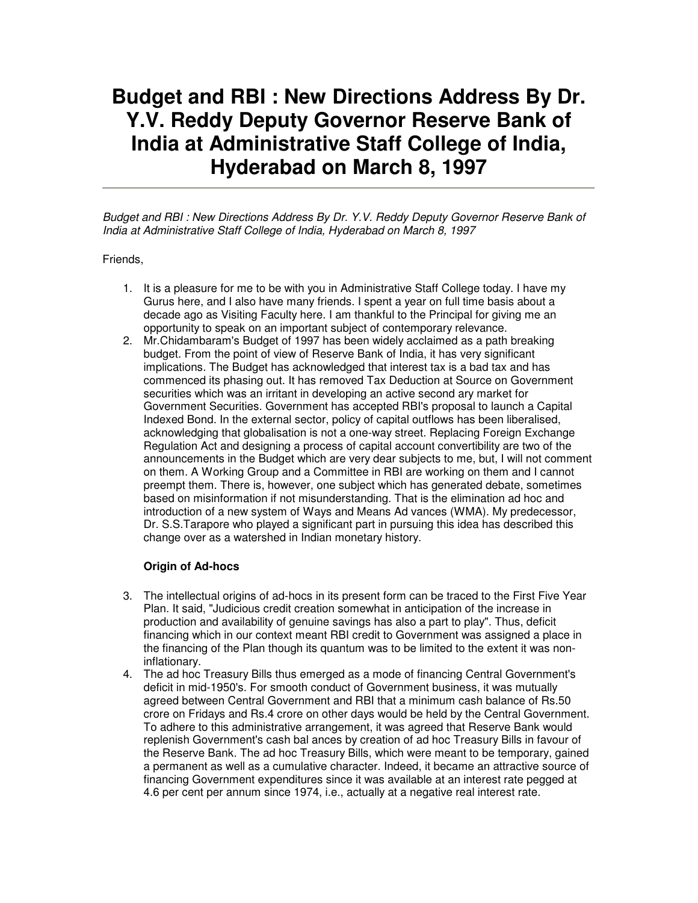# **Budget and RBI : New Directions Address By Dr. Y.V. Reddy Deputy Governor Reserve Bank of India at Administrative Staff College of India, Hyderabad on March 8, 1997**

Budget and RBI : New Directions Address By Dr. Y.V. Reddy Deputy Governor Reserve Bank of India at Administrative Staff College of India, Hyderabad on March 8, 1997

Friends,

- 1. It is a pleasure for me to be with you in Administrative Staff College today. I have my Gurus here, and I also have many friends. I spent a year on full time basis about a decade ago as Visiting Faculty here. I am thankful to the Principal for giving me an opportunity to speak on an important subject of contemporary relevance.
- 2. Mr.Chidambaram's Budget of 1997 has been widely acclaimed as a path breaking budget. From the point of view of Reserve Bank of India, it has very significant implications. The Budget has acknowledged that interest tax is a bad tax and has commenced its phasing out. It has removed Tax Deduction at Source on Government securities which was an irritant in developing an active second ary market for Government Securities. Government has accepted RBI's proposal to launch a Capital Indexed Bond. In the external sector, policy of capital outflows has been liberalised, acknowledging that globalisation is not a one-way street. Replacing Foreign Exchange Regulation Act and designing a process of capital account convertibility are two of the announcements in the Budget which are very dear subjects to me, but, I will not comment on them. A Working Group and a Committee in RBI are working on them and I cannot preempt them. There is, however, one subject which has generated debate, sometimes based on misinformation if not misunderstanding. That is the elimination ad hoc and introduction of a new system of Ways and Means Ad vances (WMA). My predecessor, Dr. S.S.Tarapore who played a significant part in pursuing this idea has described this change over as a watershed in Indian monetary history.

#### **Origin of Ad-hocs**

- 3. The intellectual origins of ad-hocs in its present form can be traced to the First Five Year Plan. It said, "Judicious credit creation somewhat in anticipation of the increase in production and availability of genuine savings has also a part to play". Thus, deficit financing which in our context meant RBI credit to Government was assigned a place in the financing of the Plan though its quantum was to be limited to the extent it was noninflationary.
- 4. The ad hoc Treasury Bills thus emerged as a mode of financing Central Government's deficit in mid-1950's. For smooth conduct of Government business, it was mutually agreed between Central Government and RBI that a minimum cash balance of Rs.50 crore on Fridays and Rs.4 crore on other days would be held by the Central Government. To adhere to this administrative arrangement, it was agreed that Reserve Bank would replenish Government's cash bal ances by creation of ad hoc Treasury Bills in favour of the Reserve Bank. The ad hoc Treasury Bills, which were meant to be temporary, gained a permanent as well as a cumulative character. Indeed, it became an attractive source of financing Government expenditures since it was available at an interest rate pegged at 4.6 per cent per annum since 1974, i.e., actually at a negative real interest rate.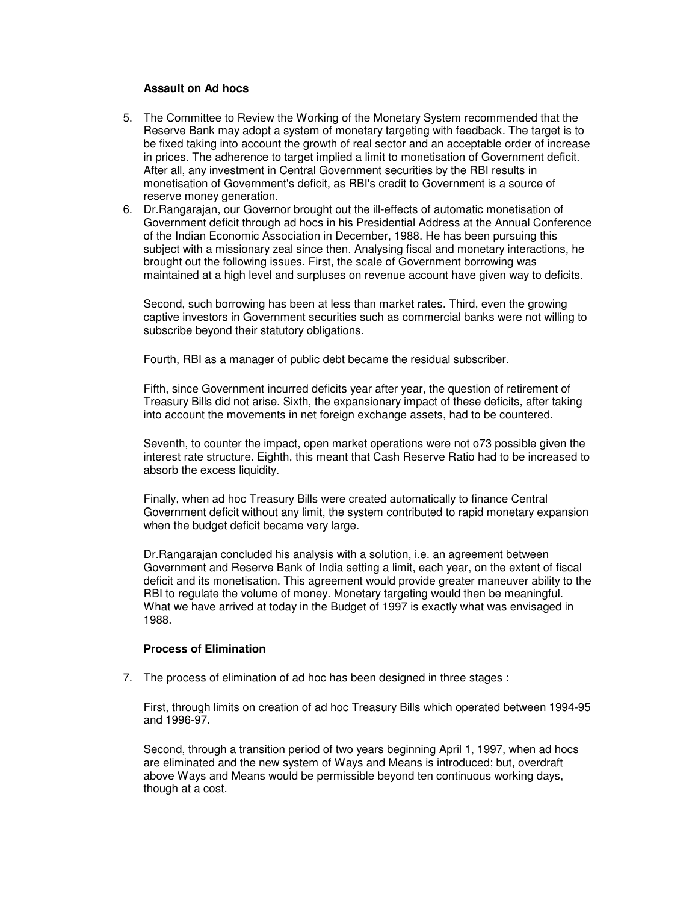#### **Assault on Ad hocs**

- 5. The Committee to Review the Working of the Monetary System recommended that the Reserve Bank may adopt a system of monetary targeting with feedback. The target is to be fixed taking into account the growth of real sector and an acceptable order of increase in prices. The adherence to target implied a limit to monetisation of Government deficit. After all, any investment in Central Government securities by the RBI results in monetisation of Government's deficit, as RBI's credit to Government is a source of reserve money generation.
- 6. Dr.Rangarajan, our Governor brought out the ill-effects of automatic monetisation of Government deficit through ad hocs in his Presidential Address at the Annual Conference of the Indian Economic Association in December, 1988. He has been pursuing this subject with a missionary zeal since then. Analysing fiscal and monetary interactions, he brought out the following issues. First, the scale of Government borrowing was maintained at a high level and surpluses on revenue account have given way to deficits.

Second, such borrowing has been at less than market rates. Third, even the growing captive investors in Government securities such as commercial banks were not willing to subscribe beyond their statutory obligations.

Fourth, RBI as a manager of public debt became the residual subscriber.

Fifth, since Government incurred deficits year after year, the question of retirement of Treasury Bills did not arise. Sixth, the expansionary impact of these deficits, after taking into account the movements in net foreign exchange assets, had to be countered.

Seventh, to counter the impact, open market operations were not o73 possible given the interest rate structure. Eighth, this meant that Cash Reserve Ratio had to be increased to absorb the excess liquidity.

Finally, when ad hoc Treasury Bills were created automatically to finance Central Government deficit without any limit, the system contributed to rapid monetary expansion when the budget deficit became very large.

Dr.Rangarajan concluded his analysis with a solution, i.e. an agreement between Government and Reserve Bank of India setting a limit, each year, on the extent of fiscal deficit and its monetisation. This agreement would provide greater maneuver ability to the RBI to regulate the volume of money. Monetary targeting would then be meaningful. What we have arrived at today in the Budget of 1997 is exactly what was envisaged in 1988.

#### **Process of Elimination**

7. The process of elimination of ad hoc has been designed in three stages :

First, through limits on creation of ad hoc Treasury Bills which operated between 1994-95 and 1996-97.

Second, through a transition period of two years beginning April 1, 1997, when ad hocs are eliminated and the new system of Ways and Means is introduced; but, overdraft above Ways and Means would be permissible beyond ten continuous working days, though at a cost.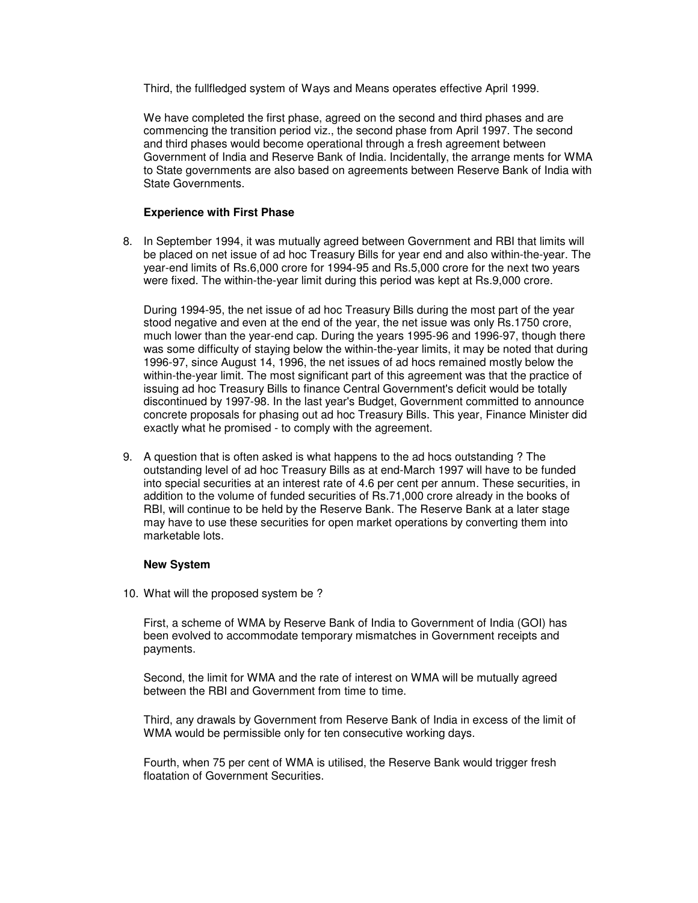Third, the fullfledged system of Ways and Means operates effective April 1999.

We have completed the first phase, agreed on the second and third phases and are commencing the transition period viz., the second phase from April 1997. The second and third phases would become operational through a fresh agreement between Government of India and Reserve Bank of India. Incidentally, the arrange ments for WMA to State governments are also based on agreements between Reserve Bank of India with State Governments.

#### **Experience with First Phase**

8. In September 1994, it was mutually agreed between Government and RBI that limits will be placed on net issue of ad hoc Treasury Bills for year end and also within-the-year. The year-end limits of Rs.6,000 crore for 1994-95 and Rs.5,000 crore for the next two years were fixed. The within-the-year limit during this period was kept at Rs.9,000 crore.

During 1994-95, the net issue of ad hoc Treasury Bills during the most part of the year stood negative and even at the end of the year, the net issue was only Rs.1750 crore, much lower than the year-end cap. During the years 1995-96 and 1996-97, though there was some difficulty of staying below the within-the-year limits, it may be noted that during 1996-97, since August 14, 1996, the net issues of ad hocs remained mostly below the within-the-year limit. The most significant part of this agreement was that the practice of issuing ad hoc Treasury Bills to finance Central Government's deficit would be totally discontinued by 1997-98. In the last year's Budget, Government committed to announce concrete proposals for phasing out ad hoc Treasury Bills. This year, Finance Minister did exactly what he promised - to comply with the agreement.

9. A question that is often asked is what happens to the ad hocs outstanding ? The outstanding level of ad hoc Treasury Bills as at end-March 1997 will have to be funded into special securities at an interest rate of 4.6 per cent per annum. These securities, in addition to the volume of funded securities of Rs.71,000 crore already in the books of RBI, will continue to be held by the Reserve Bank. The Reserve Bank at a later stage may have to use these securities for open market operations by converting them into marketable lots.

#### **New System**

10. What will the proposed system be ?

First, a scheme of WMA by Reserve Bank of India to Government of India (GOI) has been evolved to accommodate temporary mismatches in Government receipts and payments.

Second, the limit for WMA and the rate of interest on WMA will be mutually agreed between the RBI and Government from time to time.

Third, any drawals by Government from Reserve Bank of India in excess of the limit of WMA would be permissible only for ten consecutive working days.

Fourth, when 75 per cent of WMA is utilised, the Reserve Bank would trigger fresh floatation of Government Securities.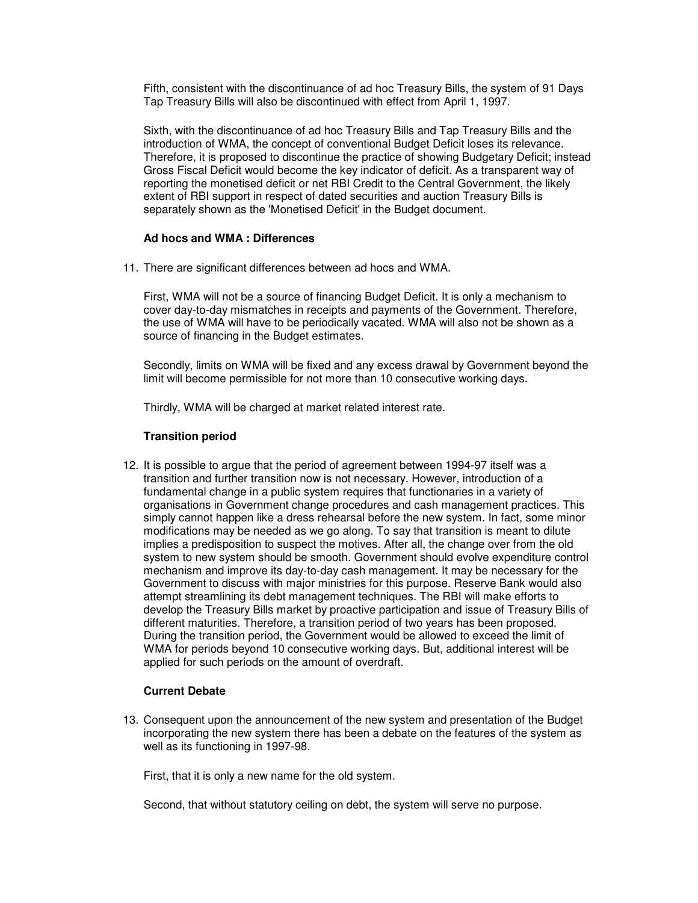Fifth, consistent with the discontinuance of ad hoc Treasury Bills, the system of 91 Days Tap Treasury Bills will also be discontinued with effect from April 1, 1997.

Sixth, with the discontinuance of ad hoc Treasury Bills and Tap Treasury Bills and the introduction of WMA, the concept of conventional Budget Deficit loses its relevance. Therefore, it is proposed to discontinue the practice of showing Budgetary Deficit; instead Gross Fiscal Deficit would become the key indicator of deficit. As a transparent way of reporting the monetised deficit or net RBI Credit to the Central Government, the likely extent of RBI support in respect of dated securities and auction Treasury Bills is separately shown as the 'Monetised Deficit' in the Budget document.

#### **Ad hocs and WMA : Differences**

11. There are significant differences between ad hocs and WMA.

First, WMA will not be a source of financing Budget Deficit. It is only a mechanism to cover day-to-day mismatches in receipts and payments of the Government. Therefore, the use of WMA will have to be periodically vacated. WMA will also not be shown as a source of financing in the Budget estimates.

Secondly, limits on WMA will be fixed and any excess drawal by Government beyond the limit will become permissible for not more than 10 consecutive working days.

Thirdly, WMA will be charged at market related interest rate.

### **Transition period**

12. It is possible to argue that the period of agreement between 1994-97 itself was a transition and further transition now is not necessary. However, introduction of a fundamental change in a public system requires that functionaries in a variety of organisations in Government change procedures and cash management practices. This simply cannot happen like a dress rehearsal before the new system. In fact, some minor modifications may be needed as we go along. To say that transition is meant to dilute implies a predisposition to suspect the motives. After all, the change over from the old system to new system should be smooth. Government should evolve expenditure control mechanism and improve its day-to-day cash management. It may be necessary for the Government to discuss with major ministries for this purpose. Reserve Bank would also attempt streamlining its debt management techniques. The RBI will make efforts to develop the Treasury Bills market by proactive participation and issue of Treasury Bills of different maturities. Therefore, a transition period of two years has been proposed. During the transition period, the Government would be allowed to exceed the limit of WMA for periods beyond 10 consecutive working days. But, additional interest will be applied for such periods on the amount of overdraft.

#### **Current Debate**

13. Consequent upon the announcement of the new system and presentation of the Budget incorporating the new system there has been a debate on the features of the system as well as its functioning in 1997-98.

First, that it is only a new name for the old system.

Second, that without statutory ceiling on debt, the system will serve no purpose.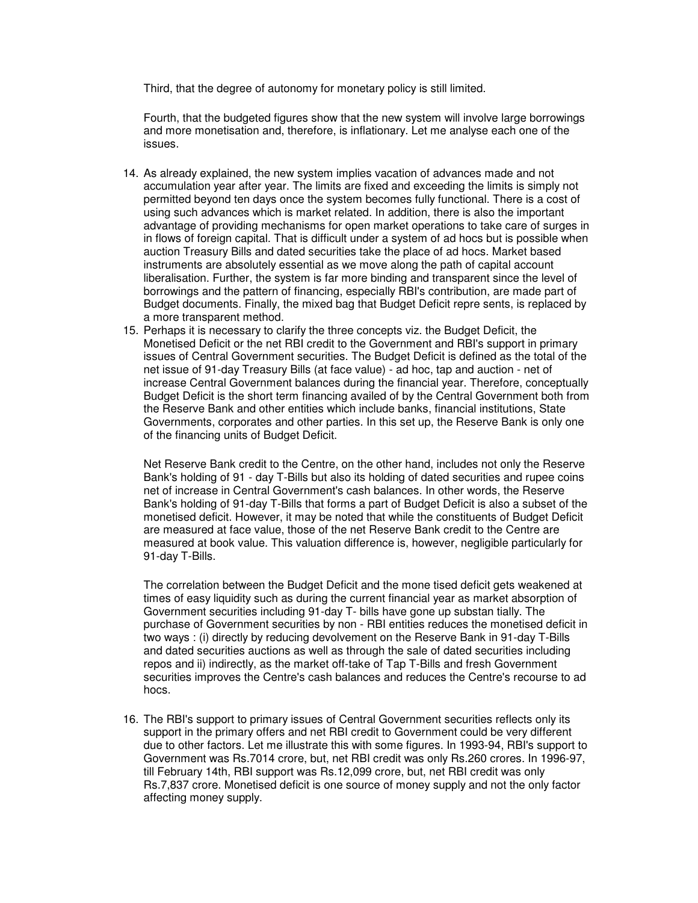Third, that the degree of autonomy for monetary policy is still limited.

Fourth, that the budgeted figures show that the new system will involve large borrowings and more monetisation and, therefore, is inflationary. Let me analyse each one of the issues.

- 14. As already explained, the new system implies vacation of advances made and not accumulation year after year. The limits are fixed and exceeding the limits is simply not permitted beyond ten days once the system becomes fully functional. There is a cost of using such advances which is market related. In addition, there is also the important advantage of providing mechanisms for open market operations to take care of surges in in flows of foreign capital. That is difficult under a system of ad hocs but is possible when auction Treasury Bills and dated securities take the place of ad hocs. Market based instruments are absolutely essential as we move along the path of capital account liberalisation. Further, the system is far more binding and transparent since the level of borrowings and the pattern of financing, especially RBI's contribution, are made part of Budget documents. Finally, the mixed bag that Budget Deficit repre sents, is replaced by a more transparent method.
- 15. Perhaps it is necessary to clarify the three concepts viz. the Budget Deficit, the Monetised Deficit or the net RBI credit to the Government and RBI's support in primary issues of Central Government securities. The Budget Deficit is defined as the total of the net issue of 91-day Treasury Bills (at face value) - ad hoc, tap and auction - net of increase Central Government balances during the financial year. Therefore, conceptually Budget Deficit is the short term financing availed of by the Central Government both from the Reserve Bank and other entities which include banks, financial institutions, State Governments, corporates and other parties. In this set up, the Reserve Bank is only one of the financing units of Budget Deficit.

Net Reserve Bank credit to the Centre, on the other hand, includes not only the Reserve Bank's holding of 91 - day T-Bills but also its holding of dated securities and rupee coins net of increase in Central Government's cash balances. In other words, the Reserve Bank's holding of 91-day T-Bills that forms a part of Budget Deficit is also a subset of the monetised deficit. However, it may be noted that while the constituents of Budget Deficit are measured at face value, those of the net Reserve Bank credit to the Centre are measured at book value. This valuation difference is, however, negligible particularly for 91-day T-Bills.

The correlation between the Budget Deficit and the mone tised deficit gets weakened at times of easy liquidity such as during the current financial year as market absorption of Government securities including 91-day T- bills have gone up substan tially. The purchase of Government securities by non - RBI entities reduces the monetised deficit in two ways : (i) directly by reducing devolvement on the Reserve Bank in 91-day T-Bills and dated securities auctions as well as through the sale of dated securities including repos and ii) indirectly, as the market off-take of Tap T-Bills and fresh Government securities improves the Centre's cash balances and reduces the Centre's recourse to ad hocs.

16. The RBI's support to primary issues of Central Government securities reflects only its support in the primary offers and net RBI credit to Government could be very different due to other factors. Let me illustrate this with some figures. In 1993-94, RBI's support to Government was Rs.7014 crore, but, net RBI credit was only Rs.260 crores. In 1996-97, till February 14th, RBI support was Rs.12,099 crore, but, net RBI credit was only Rs.7,837 crore. Monetised deficit is one source of money supply and not the only factor affecting money supply.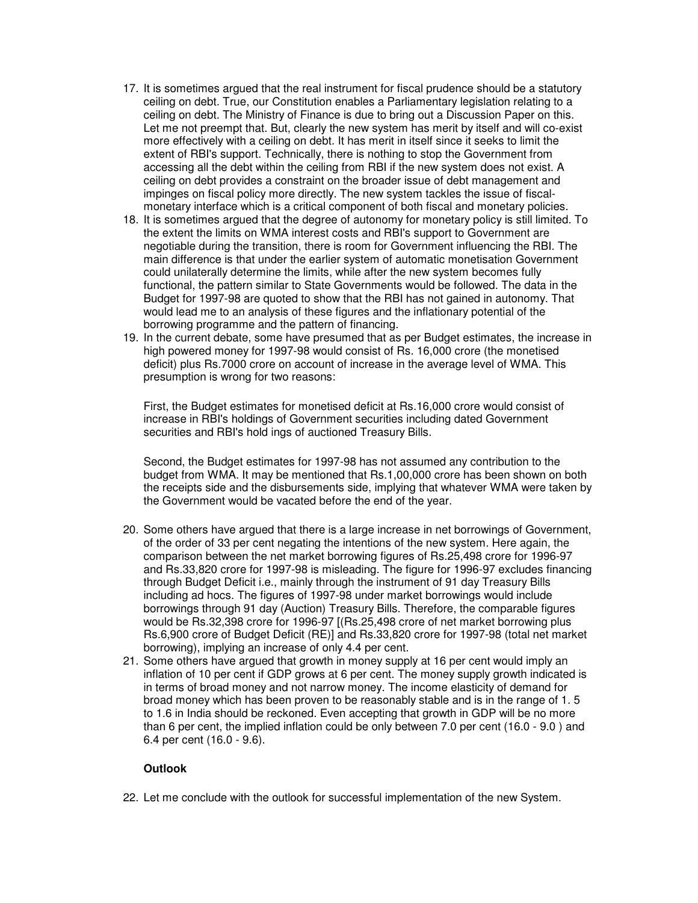- 17. It is sometimes argued that the real instrument for fiscal prudence should be a statutory ceiling on debt. True, our Constitution enables a Parliamentary legislation relating to a ceiling on debt. The Ministry of Finance is due to bring out a Discussion Paper on this. Let me not preempt that. But, clearly the new system has merit by itself and will co-exist more effectively with a ceiling on debt. It has merit in itself since it seeks to limit the extent of RBI's support. Technically, there is nothing to stop the Government from accessing all the debt within the ceiling from RBI if the new system does not exist. A ceiling on debt provides a constraint on the broader issue of debt management and impinges on fiscal policy more directly. The new system tackles the issue of fiscalmonetary interface which is a critical component of both fiscal and monetary policies.
- 18. It is sometimes argued that the degree of autonomy for monetary policy is still limited. To the extent the limits on WMA interest costs and RBI's support to Government are negotiable during the transition, there is room for Government influencing the RBI. The main difference is that under the earlier system of automatic monetisation Government could unilaterally determine the limits, while after the new system becomes fully functional, the pattern similar to State Governments would be followed. The data in the Budget for 1997-98 are quoted to show that the RBI has not gained in autonomy. That would lead me to an analysis of these figures and the inflationary potential of the borrowing programme and the pattern of financing.
- 19. In the current debate, some have presumed that as per Budget estimates, the increase in high powered money for 1997-98 would consist of Rs. 16,000 crore (the monetised deficit) plus Rs.7000 crore on account of increase in the average level of WMA. This presumption is wrong for two reasons:

First, the Budget estimates for monetised deficit at Rs.16,000 crore would consist of increase in RBI's holdings of Government securities including dated Government securities and RBI's hold ings of auctioned Treasury Bills.

Second, the Budget estimates for 1997-98 has not assumed any contribution to the budget from WMA. It may be mentioned that Rs.1,00,000 crore has been shown on both the receipts side and the disbursements side, implying that whatever WMA were taken by the Government would be vacated before the end of the year.

- 20. Some others have argued that there is a large increase in net borrowings of Government, of the order of 33 per cent negating the intentions of the new system. Here again, the comparison between the net market borrowing figures of Rs.25,498 crore for 1996-97 and Rs.33,820 crore for 1997-98 is misleading. The figure for 1996-97 excludes financing through Budget Deficit i.e., mainly through the instrument of 91 day Treasury Bills including ad hocs. The figures of 1997-98 under market borrowings would include borrowings through 91 day (Auction) Treasury Bills. Therefore, the comparable figures would be Rs.32,398 crore for 1996-97 [(Rs.25,498 crore of net market borrowing plus Rs.6,900 crore of Budget Deficit (RE)] and Rs.33,820 crore for 1997-98 (total net market borrowing), implying an increase of only 4.4 per cent.
- 21. Some others have argued that growth in money supply at 16 per cent would imply an inflation of 10 per cent if GDP grows at 6 per cent. The money supply growth indicated is in terms of broad money and not narrow money. The income elasticity of demand for broad money which has been proven to be reasonably stable and is in the range of 1. 5 to 1.6 in India should be reckoned. Even accepting that growth in GDP will be no more than 6 per cent, the implied inflation could be only between 7.0 per cent (16.0 - 9.0 ) and 6.4 per cent (16.0 - 9.6).

## **Outlook**

22. Let me conclude with the outlook for successful implementation of the new System.